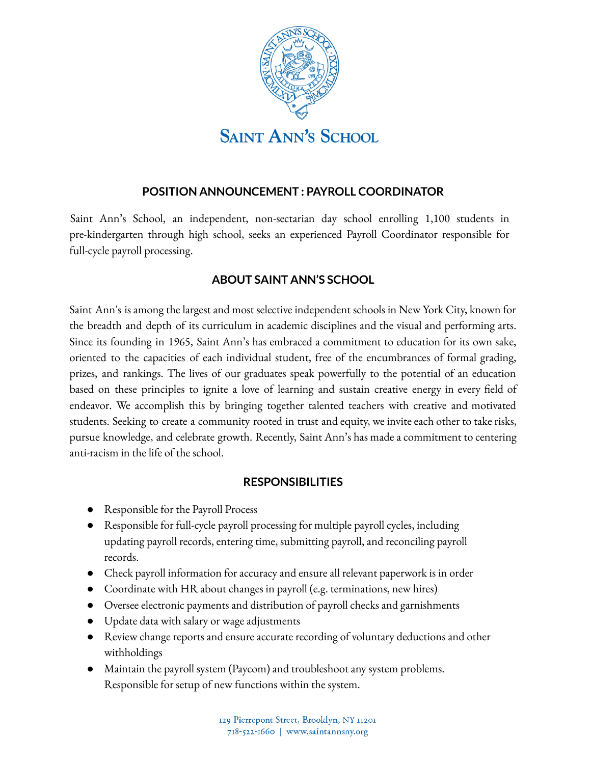

## **POSITION ANNOUNCEMENT : PAYROLL COORDINATOR**

Saint Ann's School, an independent, non-sectarian day school enrolling 1,100 students in pre-kindergarten through high school, seeks an experienced Payroll Coordinator responsible for full-cycle payroll processing.

## **ABOUT SAINT ANN'S SCHOOL**

Saint Ann's is among the largest and most selective independent schools in New York City, known for the breadth and depth of its curriculum in academic disciplines and the visual and performing arts. Since its founding in 1965, Saint Ann's has embraced a commitment to education for its own sake, oriented to the capacities of each individual student, free of the encumbrances of formal grading, prizes, and rankings. The lives of our graduates speak powerfully to the potential of an education based on these principles to ignite a love of learning and sustain creative energy in every field of endeavor. We accomplish this by bringing together talented teachers with creative and motivated students. Seeking to create a community rooted in trust and equity, we invite each other to take risks, pursue knowledge, and celebrate growth. Recently, Saint Ann's has made a commitment to centering anti-racism in the life of the school.

## **RESPONSIBILITIES**

- Responsible for the Payroll Process
- Responsible for full-cycle payroll processing for multiple payroll cycles, including updating payroll records, entering time, submitting payroll, and reconciling payroll records.
- Check payroll information for accuracy and ensure all relevant paperwork is in order
- Coordinate with HR about changes in payroll (e.g. terminations, new hires)
- Oversee electronic payments and distribution of payroll checks and garnishments
- Update data with salary or wage adjustments
- Review change reports and ensure accurate recording of voluntary deductions and other withholdings
- Maintain the payroll system (Paycom) and troubleshoot any system problems. Responsible for setup of new functions within the system.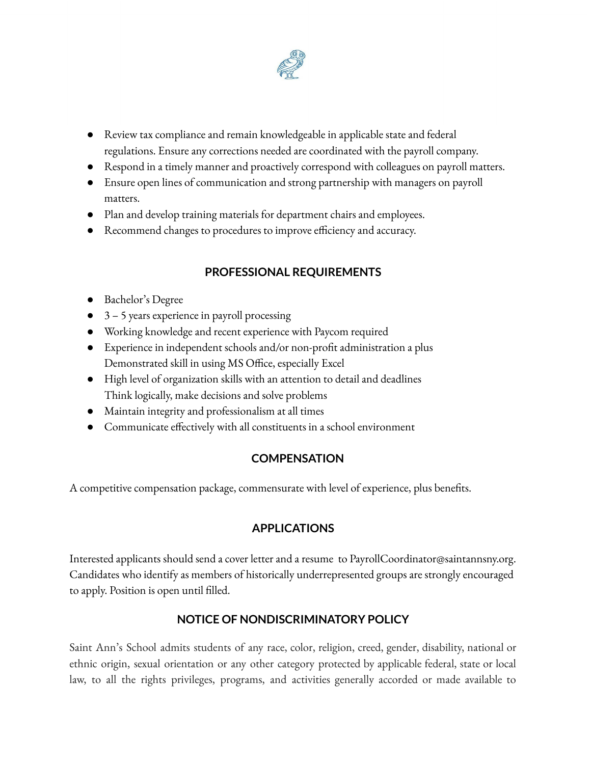

- Review tax compliance and remain knowledgeable in applicable state and federal regulations. Ensure any corrections needed are coordinated with the payroll company.
- Respond in a timely manner and proactively correspond with colleagues on payroll matters.
- Ensure open lines of communication and strong partnership with managers on payroll matters.
- Plan and develop training materials for department chairs and employees.
- Recommend changes to procedures to improve efficiency and accuracy.

# **PROFESSIONAL REQUIREMENTS**

- Bachelor's Degree
- 3 5 years experience in payroll processing
- Working knowledge and recent experience with Paycom required
- Experience in independent schools and/or non-profit administration a plus Demonstrated skill in using MS Office, especially Excel
- High level of organization skills with an attention to detail and deadlines Think logically, make decisions and solve problems
- Maintain integrity and professionalism at all times
- Communicate effectively with all constituents in a school environment

# **COMPENSATION**

A competitive compensation package, commensurate with level of experience, plus benefits.

# **APPLICATIONS**

Interested applicants should send a cover letter and a resume to PayrollCoordinator@saintannsny.org. Candidates who identify as members of historically underrepresented groups are strongly encouraged to apply. Position is open until filled.

# **NOTICE OF NONDISCRIMINATORY POLICY**

Saint Ann's School admits students of any race, color, religion, creed, gender, disability, national or ethnic origin, sexual orientation or any other category protected by applicable federal, state or local law, to all the rights privileges, programs, and activities generally accorded or made available to